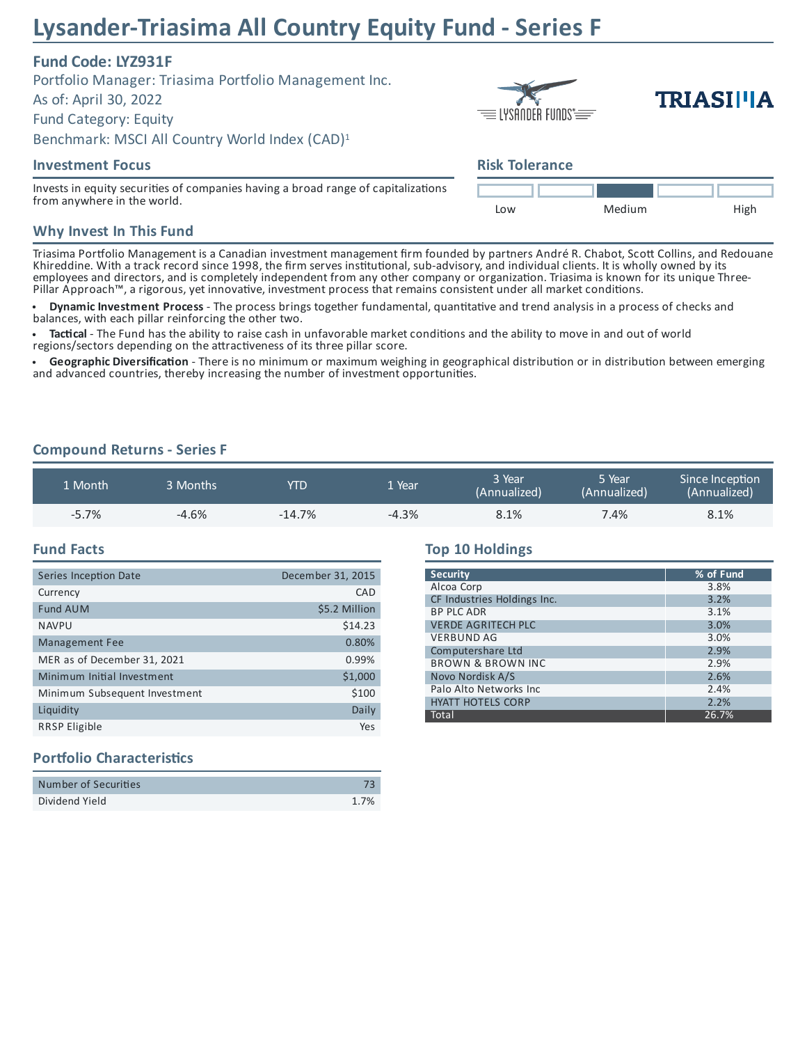# **Lysander-Triasima All Country Equity Fund - Series F**

# **Fund Code: LYZ931F**

Portfolio Manager: Triasima Portfolio Management Inc. As of: April 30, 2022 Fund Category: Equity Benchmark: MSCI All Country World Index (CAD) 1

#### **Investment Focus**

Invests in equity securities of companies having a broad range of capitalizations from anywhere in the world.

| $\equiv$ lysander funds $\equiv$ |  |  |  |
|----------------------------------|--|--|--|

# **TRIASII'IA**

# **Risk Tolerance**



#### **Why Invest In This Fund**

Triasima Portfolio Management is a Canadian investment management firm founded by partners André R. Chabot, Scott Collins, and Redouane Khireddine. With a track record since 1998, the firm serves institutional, sub-advisory, and individual clients. It is wholly owned by its employees and directors, and is completely independent from any other company or organization. Triasima is known for its unique Three-Pillar Approach™, a rigorous, yet innovative, investment process that remains consistent under all market conditions.

**Dynamic Investment Process** - The process brings together fundamental, quantitative and trend analysis in a process of checks and balances, with each pillar reinforcing the other two.

Tactical - The Fund has the ability to raise cash in unfavorable market conditions and the ability to move in and out of world regions/sectors depending on the attractiveness of its three pillar score.

Geographic Diversification - There is no minimum or maximum weighing in geographical distribution or in distribution between emerging and advanced countries, thereby increasing the number of investment opportunities.

#### **Compound Returns - Series F**

| 1 Month | 3 Months | YTD      | . Year  | 3 Year<br>(Annualized) | 5 Year<br>(Annualized) | Since Inception<br>(Annualized) |
|---------|----------|----------|---------|------------------------|------------------------|---------------------------------|
| $-5.7%$ | $-4.6%$  | $-14.7%$ | $-4.3%$ | 8.1%                   | 7.4%                   | 8.1%                            |

#### **Fund Facts**

| Series Inception Date         | December 31, 2015 |
|-------------------------------|-------------------|
| Currency                      | CAD               |
| <b>Fund AUM</b>               | \$5.2 Million     |
| <b>NAVPU</b>                  | \$14.23           |
| <b>Management Fee</b>         | 0.80%             |
| MER as of December 31, 2021   | 0.99%             |
| Minimum Initial Investment    | \$1,000           |
| Minimum Subsequent Investment | \$100             |
| Liquidity                     | Daily             |
| <b>RRSP Eligible</b>          | Yes               |

# **Top 10 Holdings**

| <b>Security</b>              | % of Fund |
|------------------------------|-----------|
| Alcoa Corp                   | 3.8%      |
| CF Industries Holdings Inc.  | 3.2%      |
| <b>BP PLC ADR</b>            | 3.1%      |
| <b>VERDE AGRITECH PLC</b>    | 3.0%      |
| <b>VERBUND AG</b>            | 3.0%      |
| Computershare Ltd            | 2.9%      |
| <b>BROWN &amp; BROWN INC</b> | 2.9%      |
| Novo Nordisk A/S             | 2.6%      |
| Palo Alto Networks Inc.      | 2.4%      |
| <b>HYATT HOTELS CORP</b>     | 2.2%      |
| Total                        | 26.7%     |

## **Portfolio Characteristics**

| Number of Securities |      |
|----------------------|------|
| Dividend Yield       | 1.7% |